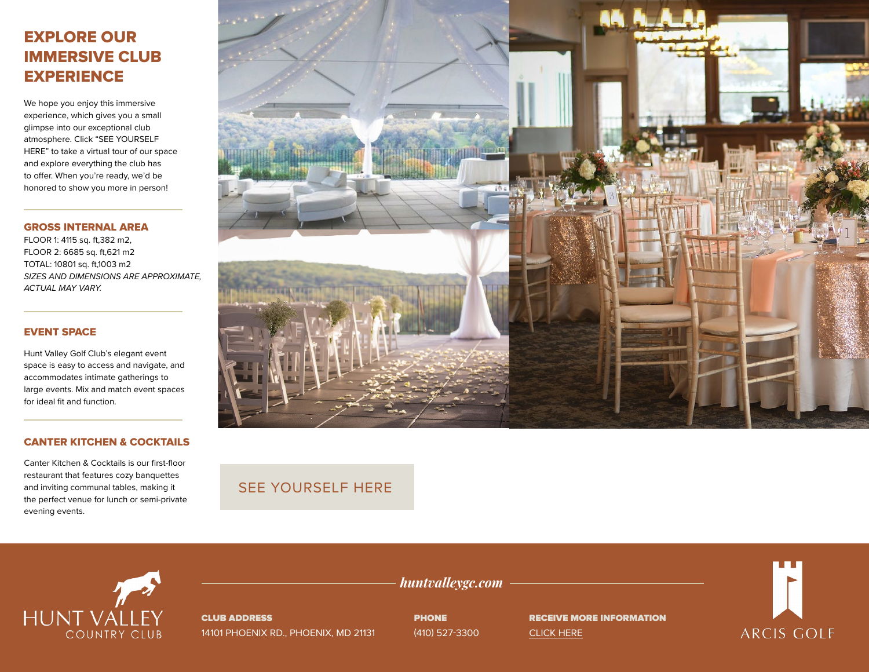# EXPLORE OUR IMMERSIVE CLUB **EXPERIENCE**

We hope you enjoy this immersive experience, which gives you a small glimpse into our exceptional club atmosphere. Click "SEE YOURSELF HERE" to take a virtual tour of our space and explore everything the club has to offer. When you're ready, we'd be honored to show you more in person!

GROSS INTERNAL AREA

FLOOR 1: 4115 sq. ft,382 m2, FLOOR 2: 6685 sq. ft,621 m2 TOTAL: 10801 sq. ft,1003 m2 *SIZES AND DIMENSIONS ARE APPROXIMATE, ACTUAL MAY VARY.*

### EVENT SPACE

Hunt Valley Golf Club's elegant event space is easy to access and navigate, and accommodates intimate gatherings to large events. Mix and match event spaces for ideal fit and function.

### CANTER KITCHEN & COCKTAILS

Canter Kitchen & Cocktails is our first-floor restaurant that features cozy banquettes and inviting communal tables, making it the perfect venue for lunch or semi-private evening events.



## [SEE YOURSELF HERE](https://visitingmedia.com/tt8/?ttid=hunt-valley-country-club#/3d-model)



CLUB ADDRESS 14101 PHOENIX RD., PHOENIX, MD 21131 **PHONE** (410) 527-3300

*huntvalleygc.com*

RECEIVE MORE INFORMATION [CLICK HERE](https://www.huntvalleygc.com/private-events-vm)

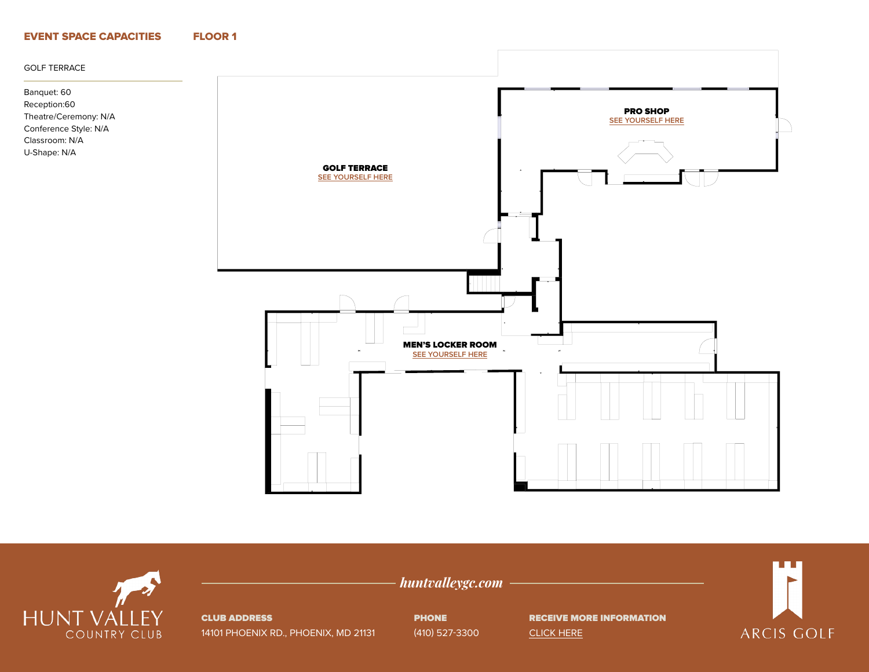### EVENT SPACE CAPACITIES FLOOR 1

#### GOLF TERRACE

Banquet: 60 Reception:60 Theatre/Ceremony: N/A Conference Style: N/A Classroom: N/A U-Shape: N/A